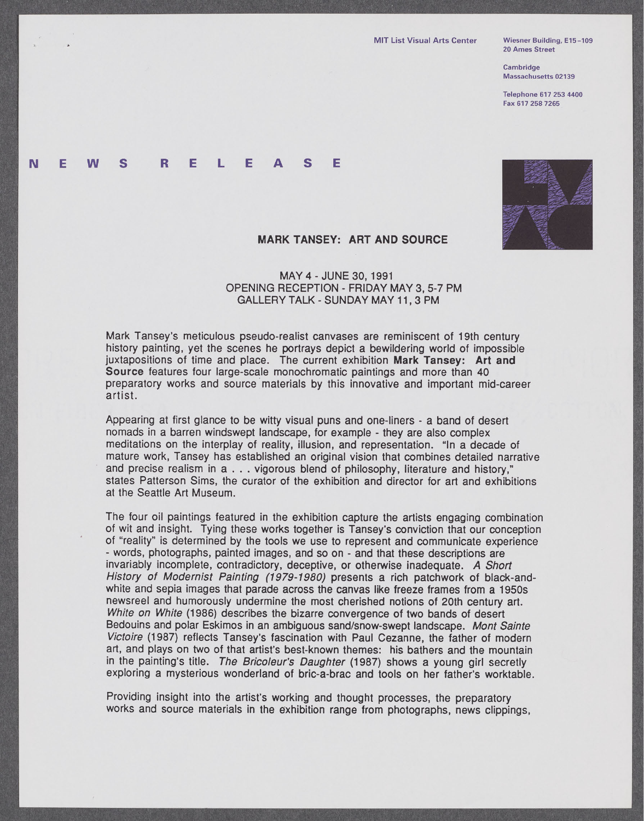**20 Ames Street**

**Cambridge Massachusetts 02139**

**Telephone 617 253 4400 Fax 617 258 7265**

## **N E W S R E** L **E A S E** N E W S



## **MARK TANSEY: ART AND SOURCE**

## **MAY** 4 **- JUNE 30, 1991 OPENING** RECEPTION **-** FRIDAY MAY **3,5-7** PM GALLERY TALK **- SUNDAY** MAY **11, 3** PM

Mark Tansey's meticulous pseudo-realist canvases are reminiscent of 19th century history painting, yet the scenes he portrays depict a bewildering world of impossible juxtapositions of time and place. The current exhibition **Mark** Tansey: **Art** and **Source** features four large-scale monochromatic paintings and more than 40 preparatory works and source materials **by** this innovative and important mid-career artist.

Appearing at first glance to be witty visual puns and one-liners **-** a band of desert nomads in a barren windswept landscape, for example **-** they are also complex meditations on the interplay of reality, illusion, and representation. "In a decade of mature work, Tansey has established an original vision that combines detailed narrative and precise realism in a **.** . **.** vigorous blend of philosophy, literature and history," states Patterson Sims, the curator of the exhibition and director for art and exhibitions at the Seattle Art Museum.

The four oil paintings featured in the exhibition capture the artists engaging combination of wit and insight. Tying these works together is Tansey's conviction that our conception of "reality" is determined by the tools we use to represent and communicate experience - words, photographs, painted images, and so on - and that these descriptions are invariably incomplete, contradictory, deceptive, or otherwise inadequate. *A Short History of Modernist Painting (1979-1980)* presents a rich patchwork of black-andwhite and sepia images that parade across the canvas like freeze frames from a 1950s newsreel and humorously undermine the most cherished notions of 20th century art. *White on White* **(1986)** describes the bizarre convergence of two bands of desert Bedouins and polar Eskimos in an ambiguous sand/snow-swept landscape. *Mont Sainte Victoire* **(1987)** reflects Tansey's fascination with Paul Cezanne, the father of modern art, and plays on two of that artist's best-known themes: his bathers and the mountain<br>in the painting's title. The Bricoleur's Daughter (1987) shows a young girl secretly exploring a mysterious wonderland of bric-a-brac and tools on her father's worktable.

Providing insight into the artist's working and thought processes, the preparatory works and source materials in the exhibition range from photographs, news clippings,